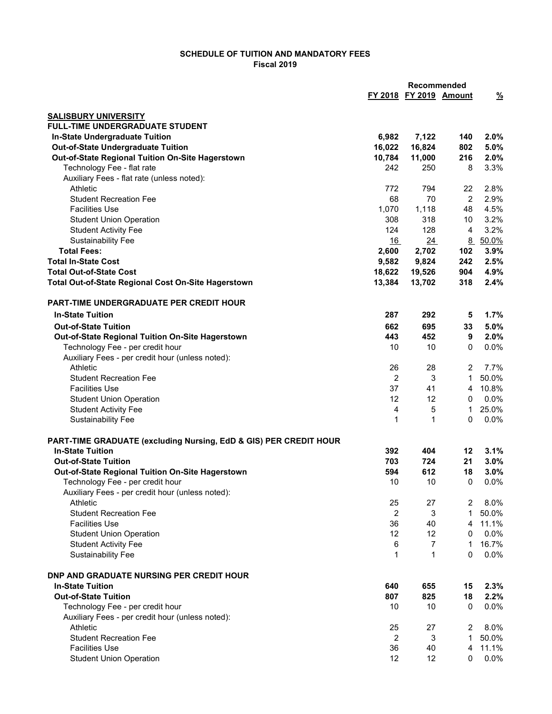## SCHEDULE OF TUITION AND MANDATORY FEES Fiscal 2019

|                                                                   |                | Recommended            |                |               |
|-------------------------------------------------------------------|----------------|------------------------|----------------|---------------|
|                                                                   |                | FY 2018 FY 2019 Amount |                | $\frac{9}{6}$ |
| <b>SALISBURY UNIVERSITY</b>                                       |                |                        |                |               |
| <b>FULL-TIME UNDERGRADUATE STUDENT</b>                            |                |                        |                |               |
| In-State Undergraduate Tuition                                    | 6,982          | 7,122                  | 140            | 2.0%          |
| <b>Out-of-State Undergraduate Tuition</b>                         | 16,022         | 16,824                 | 802            | 5.0%          |
| Out-of-State Regional Tuition On-Site Hagerstown                  | 10,784         | 11,000                 | 216            | 2.0%          |
| Technology Fee - flat rate                                        | 242            | 250                    | 8              | 3.3%          |
| Auxiliary Fees - flat rate (unless noted):                        |                |                        |                |               |
| Athletic                                                          | 772            | 794                    | 22             | 2.8%          |
| <b>Student Recreation Fee</b>                                     | 68             | 70                     | $\overline{2}$ | 2.9%          |
| <b>Facilities Use</b>                                             | 1,070          | 1,118                  | 48             | 4.5%          |
| <b>Student Union Operation</b>                                    | 308            | 318                    | 10             | 3.2%          |
| <b>Student Activity Fee</b>                                       | 124            | 128                    | 4              | 3.2%          |
| <b>Sustainability Fee</b>                                         | 16             | 24                     |                | 8 50.0%       |
| <b>Total Fees:</b>                                                | 2,600          | 2,702                  | 102            | 3.9%          |
| <b>Total In-State Cost</b>                                        | 9,582          | 9,824                  | 242            | 2.5%          |
| <b>Total Out-of-State Cost</b>                                    | 18,622         | 19,526                 | 904            | 4.9%          |
| Total Out-of-State Regional Cost On-Site Hagerstown               | 13,384         | 13,702                 | 318            | 2.4%          |
| PART-TIME UNDERGRADUATE PER CREDIT HOUR                           |                |                        |                |               |
| <b>In-State Tuition</b>                                           | 287            | 292                    | 5              | 1.7%          |
| <b>Out-of-State Tuition</b>                                       | 662            | 695                    | 33             | 5.0%          |
| Out-of-State Regional Tuition On-Site Hagerstown                  | 443            | 452                    | 9              | 2.0%          |
| Technology Fee - per credit hour                                  | 10             | 10                     | 0              | 0.0%          |
| Auxiliary Fees - per credit hour (unless noted):                  |                |                        |                |               |
| Athletic                                                          | 26             | 28                     | 2              | 7.7%          |
| <b>Student Recreation Fee</b>                                     | $\overline{2}$ | 3                      | $\mathbf{1}$   | 50.0%         |
| <b>Facilities Use</b>                                             | 37             | 41                     | $\overline{4}$ | 10.8%         |
| <b>Student Union Operation</b>                                    | 12             | 12                     | 0              | 0.0%          |
| <b>Student Activity Fee</b>                                       | $\overline{4}$ | 5                      | 1.             | 25.0%         |
| <b>Sustainability Fee</b>                                         | 1              | 1                      | $\Omega$       | 0.0%          |
| PART-TIME GRADUATE (excluding Nursing, EdD & GIS) PER CREDIT HOUR |                |                        |                |               |
| <b>In-State Tuition</b>                                           | 392            | 404                    | 12             | 3.1%          |
| <b>Out-of-State Tuition</b>                                       | 703            | 724                    | 21             | 3.0%          |
| Out-of-State Regional Tuition On-Site Hagerstown                  | 594            | 612                    | 18             | 3.0%          |
| Technology Fee - per credit hour                                  | 10             | 10                     | $\Omega$       | 0.0%          |
| Auxiliary Fees - per credit hour (unless noted):                  |                |                        |                |               |
| Athletic                                                          | 25             | 27                     | 2              | 8.0%          |
| <b>Student Recreation Fee</b>                                     | $\overline{2}$ | 3                      | $\mathbf{1}$   | 50.0%         |
| <b>Facilities Use</b>                                             | 36             | 40                     | 4              | 11.1%         |
| <b>Student Union Operation</b>                                    | 12             | 12                     | 0              | 0.0%          |
| <b>Student Activity Fee</b>                                       | 6              | $\overline{7}$         | 1              | 16.7%         |
| <b>Sustainability Fee</b>                                         | 1              | $\mathbf{1}$           | $\Omega$       | 0.0%          |
| DNP AND GRADUATE NURSING PER CREDIT HOUR                          |                |                        |                |               |
| <b>In-State Tuition</b>                                           | 640            | 655                    | 15             | 2.3%          |
| <b>Out-of-State Tuition</b>                                       | 807            | 825                    | 18             | 2.2%          |
| Technology Fee - per credit hour                                  | 10             | 10                     | 0              | 0.0%          |
| Auxiliary Fees - per credit hour (unless noted):                  |                |                        |                |               |
| Athletic                                                          | 25             | 27                     | 2              | 8.0%          |
| <b>Student Recreation Fee</b>                                     | $\overline{2}$ | 3                      | $\mathbf{1}$   | 50.0%         |
| <b>Facilities Use</b>                                             | 36             | 40                     | 4              | 11.1%         |
| <b>Student Union Operation</b>                                    | 12             | 12                     | $\mathbf 0$    | $0.0\%$       |